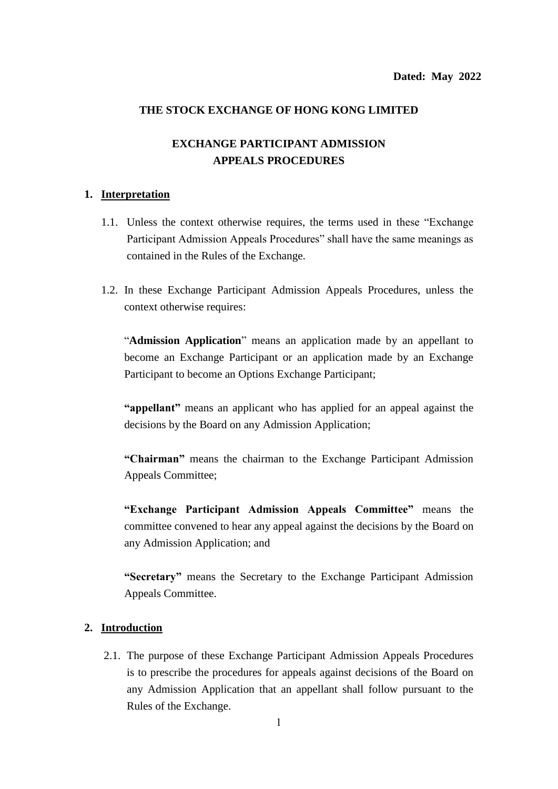## **THE STOCK EXCHANGE OF HONG KONG LIMITED**

# **EXCHANGE PARTICIPANT ADMISSION APPEALS PROCEDURES**

### **1. Interpretation**

- 1.1. Unless the context otherwise requires, the terms used in these "Exchange Participant Admission Appeals Procedures" shall have the same meanings as contained in the Rules of the Exchange.
- 1.2. In these Exchange Participant Admission Appeals Procedures, unless the context otherwise requires:

"**Admission Application**" means an application made by an appellant to become an Exchange Participant or an application made by an Exchange Participant to become an Options Exchange Participant;

**"appellant"** means an applicant who has applied for an appeal against the decisions by the Board on any Admission Application;

**"Chairman"** means the chairman to the Exchange Participant Admission Appeals Committee;

**"Exchange Participant Admission Appeals Committee"** means the committee convened to hear any appeal against the decisions by the Board on any Admission Application; and

**"Secretary"** means the Secretary to the Exchange Participant Admission Appeals Committee.

#### **2. Introduction**

2.1. The purpose of these Exchange Participant Admission Appeals Procedures is to prescribe the procedures for appeals against decisions of the Board on any Admission Application that an appellant shall follow pursuant to the Rules of the Exchange.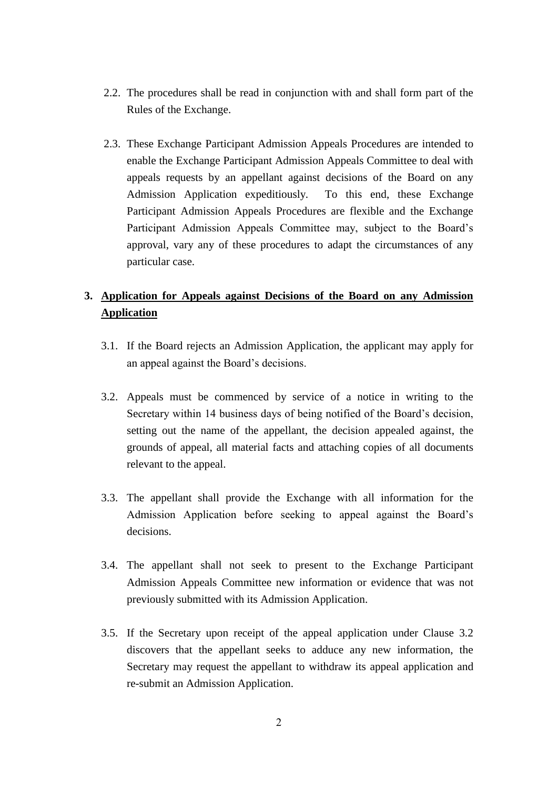- 2.2. The procedures shall be read in conjunction with and shall form part of the Rules of the Exchange.
- 2.3. These Exchange Participant Admission Appeals Procedures are intended to enable the Exchange Participant Admission Appeals Committee to deal with appeals requests by an appellant against decisions of the Board on any Admission Application expeditiously. To this end, these Exchange Participant Admission Appeals Procedures are flexible and the Exchange Participant Admission Appeals Committee may, subject to the Board's approval, vary any of these procedures to adapt the circumstances of any particular case.

# **3. Application for Appeals against Decisions of the Board on any Admission Application**

- 3.1. If the Board rejects an Admission Application, the applicant may apply for an appeal against the Board's decisions.
- 3.2. Appeals must be commenced by service of a notice in writing to the Secretary within 14 business days of being notified of the Board's decision, setting out the name of the appellant, the decision appealed against, the grounds of appeal, all material facts and attaching copies of all documents relevant to the appeal.
- 3.3. The appellant shall provide the Exchange with all information for the Admission Application before seeking to appeal against the Board's decisions.
- 3.4. The appellant shall not seek to present to the Exchange Participant Admission Appeals Committee new information or evidence that was not previously submitted with its Admission Application.
- 3.5. If the Secretary upon receipt of the appeal application under Clause 3.2 discovers that the appellant seeks to adduce any new information, the Secretary may request the appellant to withdraw its appeal application and re-submit an Admission Application.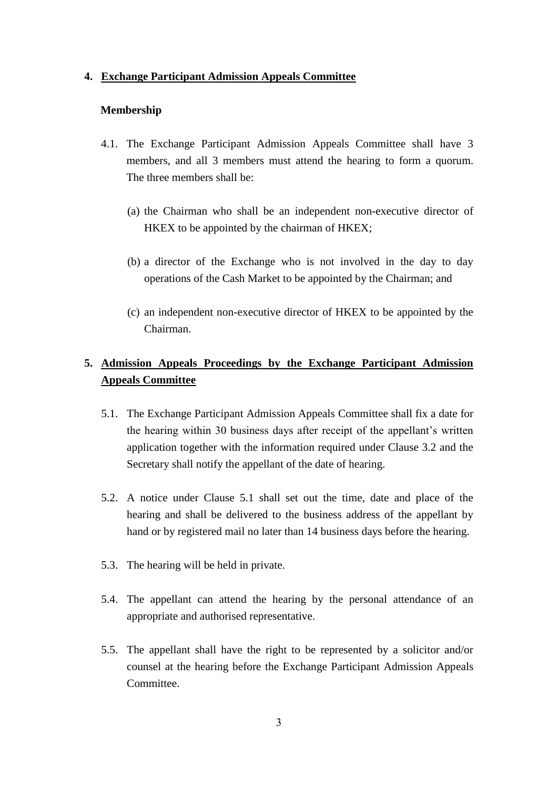### **4. Exchange Participant Admission Appeals Committee**

### **Membership**

- 4.1. The Exchange Participant Admission Appeals Committee shall have 3 members, and all 3 members must attend the hearing to form a quorum. The three members shall be:
	- (a) the Chairman who shall be an independent non-executive director of HKEX to be appointed by the chairman of HKEX;
	- (b) a director of the Exchange who is not involved in the day to day operations of the Cash Market to be appointed by the Chairman; and
	- (c) an independent non-executive director of HKEX to be appointed by the Chairman.

# **5. Admission Appeals Proceedings by the Exchange Participant Admission Appeals Committee**

- 5.1. The Exchange Participant Admission Appeals Committee shall fix a date for the hearing within 30 business days after receipt of the appellant's written application together with the information required under Clause 3.2 and the Secretary shall notify the appellant of the date of hearing.
- 5.2. A notice under Clause 5.1 shall set out the time, date and place of the hearing and shall be delivered to the business address of the appellant by hand or by registered mail no later than 14 business days before the hearing.
- 5.3. The hearing will be held in private.
- 5.4. The appellant can attend the hearing by the personal attendance of an appropriate and authorised representative.
- 5.5. The appellant shall have the right to be represented by a solicitor and/or counsel at the hearing before the Exchange Participant Admission Appeals Committee.